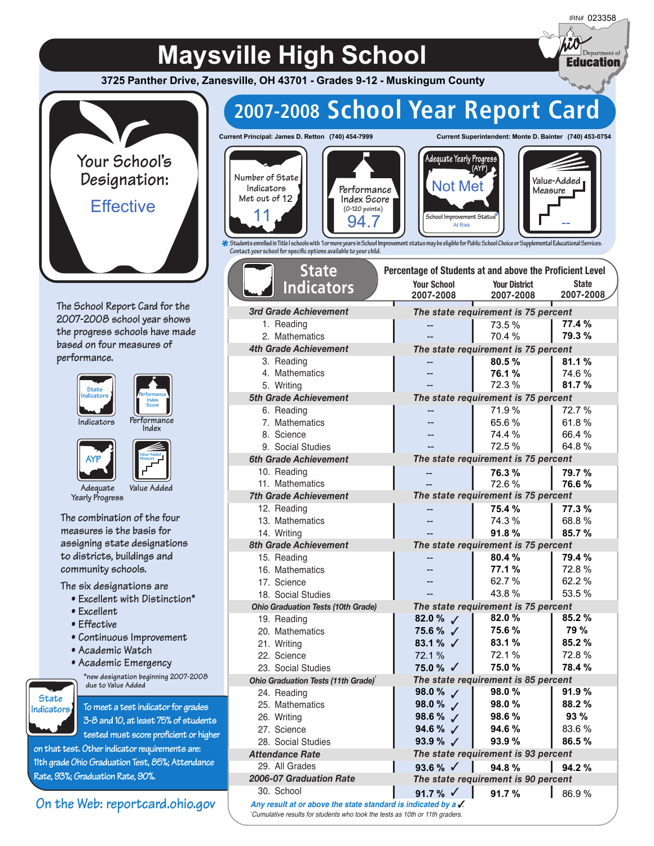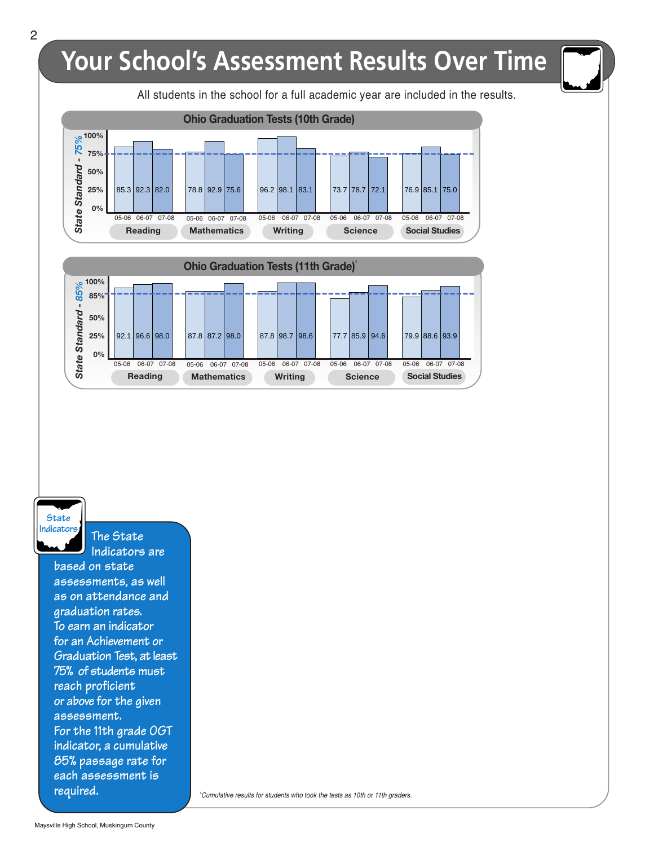#### I All students in the school for a full academic year are included in the results. Your School's Assessment Results Over Time *State Sta n dard - 75 %***100% 75% 50% 25% 0%** 05-06 06-07 07-08 05-06 06-07 07-08 05-06 06-07 07-08 05-06 06-07 07-08 05-06 06-07 07-08 **Ohio Graduation Tests (10th Grade) Reading Mathematics Writing Science Social Studies** ----------------------------------------------------------  $85.3 | 92.3 | 82.0 | 78.8 | 92.9 | 75.6 | 96.2 | 98.1 | 83.1 | 73.7 | 78.7 | 72.1 | 76.9 | 85.1 | 75.0$ *State Sta n dard - 85 %***100% 85% 50% 25% 0% Ohio Graduation Tests (11th Grade)***<sup>1</sup>* 05-06 06-07 07-08 05-06 06-07 07-08 05-06 06-07 07-08 05-06 06-07 07-08 05-06 06-07 07-08 ┨┼╾**╌┼╾╌┼╾╌┼╴╌╤╼╶╕╾┰╡╾┰┥╴╌╤╼╼╬╌╶┼╌╶┼╸╌<u>╌╌</u>┲┱┱┞╼╌┼╴╌**╌╌┲═┱╫╼┰╂╌╌  $92.1 \, | 96.6 \, | 98.0 | 87.8 \, | 87.2 \, | 98.0 | 87.8 \, | 98.7 \, | 98.6 | 77.7 \, | 85.9 \, | 94.6 | 79.9 \, | 88.6 \, | 93.9$

**Reading Mathematics Writing Science Social Studies**

**State Indicators**

**The State**

**Indicators are based on state assessments, as well as on attendance and graduation rates. To earn an indicator for an Achievement or Graduation Test, at least 75% of students must reach proficient or above for the given assessment. For the 11th grade OGT indicator, a cumulative 85% passage rate for each assessment is required.**

**2** Cumulative results for students who took the tests as 10th or 11th graders.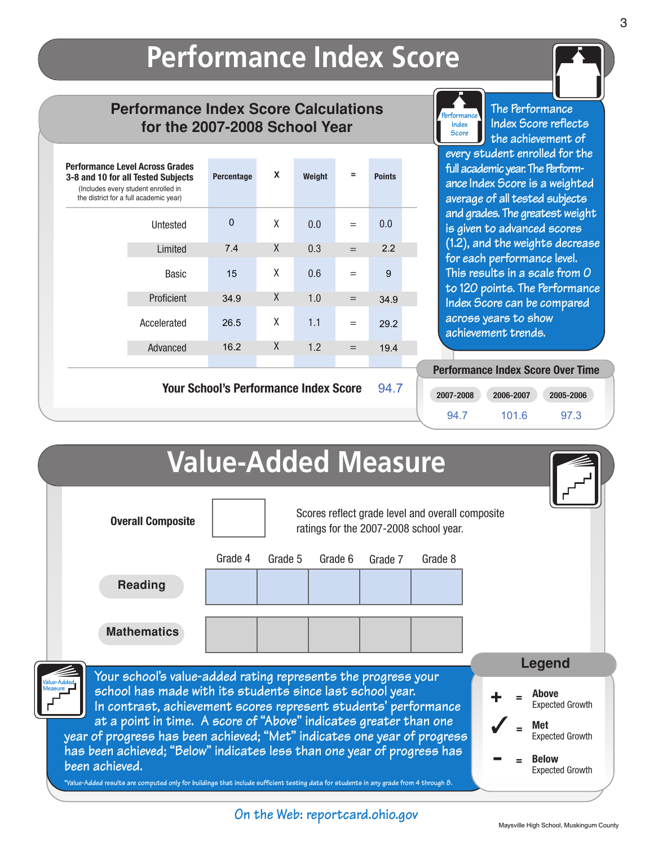### **Performance Index Score**

### **Performance Index Score Calculations for the 2007-2008 School Year**

| <b>Performance Level Across Grades</b><br>3-8 and 10 for all Tested Subjects<br>(Includes every student enrolled in<br>the district for a full academic year) | Percentage | X      | Weight | Ξ   | <b>Points</b> |
|---------------------------------------------------------------------------------------------------------------------------------------------------------------|------------|--------|--------|-----|---------------|
| Untested                                                                                                                                                      | $\Omega$   | X      | 0.0    |     | 0.0           |
| Limited                                                                                                                                                       | 7.4        | $\chi$ | 0.3    | $=$ | 2.2           |
| <b>Basic</b>                                                                                                                                                  | 15         | X      | 0.6    | $=$ | 9             |
| Proficient                                                                                                                                                    | 34.9       | X      | 1.0    | $=$ | 34.9          |
| Accelerated                                                                                                                                                   | 26.5       | X      | 1.1    | $=$ | 29.2          |
| Advanced                                                                                                                                                      | 16.2       | X      | 1.2    | $=$ | 19.4          |

**Your School's Performance Index Score 94.7**



**The Performance Index Score reflects the achievement of**

**every student enrolled for the full academic year. The Performance Index Score is a weighted average of all tested subjects and grades. The greatest weight is given to advanced scores (1.2), and the weights decrease for each performance level. This results in a scale from 0 to 120 points. The Performance Index Score can be compared across years to show achievement trends.**

## **Performance Index Score Over Time**

| 2007-2008 | 2006-2007 | 2005-2006 |
|-----------|-----------|-----------|
| 94.7      | 101.6     | 97.3      |

|                                                                                                                                                                                                                          |                                                                                            | <b>Value-Added Measure</b> |         |         |         |  |                                        |  |
|--------------------------------------------------------------------------------------------------------------------------------------------------------------------------------------------------------------------------|--------------------------------------------------------------------------------------------|----------------------------|---------|---------|---------|--|----------------------------------------|--|
| <b>Overall Composite</b>                                                                                                                                                                                                 | Scores reflect grade level and overall composite<br>ratings for the 2007-2008 school year. |                            |         |         |         |  |                                        |  |
|                                                                                                                                                                                                                          | Grade 4                                                                                    | Grade 5                    | Grade 6 | Grade 7 | Grade 8 |  |                                        |  |
| <b>Reading</b>                                                                                                                                                                                                           |                                                                                            |                            |         |         |         |  |                                        |  |
| <b>Mathematics</b>                                                                                                                                                                                                       |                                                                                            |                            |         |         |         |  |                                        |  |
| Your school's value-added rating represents the progress your                                                                                                                                                            |                                                                                            |                            |         |         |         |  | Legend                                 |  |
| school has made with its students since last school year.<br>In contrast, achievement scores represent students' performance                                                                                             |                                                                                            |                            |         |         |         |  | Above<br><b>Expected Growth</b>        |  |
| at a point in time. A score of "Above" indicates greater than one<br>year of progress has been achieved; "Met" indicates one year of progress<br>has been achieved; "Below" indicates less than one year of progress has |                                                                                            |                            |         |         |         |  | Met<br><b>Expected Growth</b>          |  |
| been achieved.<br>*Value-Added results are computed only for buildings that include sufficient testing data for students in any grade from 4 through 8.                                                                  |                                                                                            |                            |         |         |         |  | <b>Below</b><br><b>Expected Growth</b> |  |

**On the Web: reportcard.ohio.gov**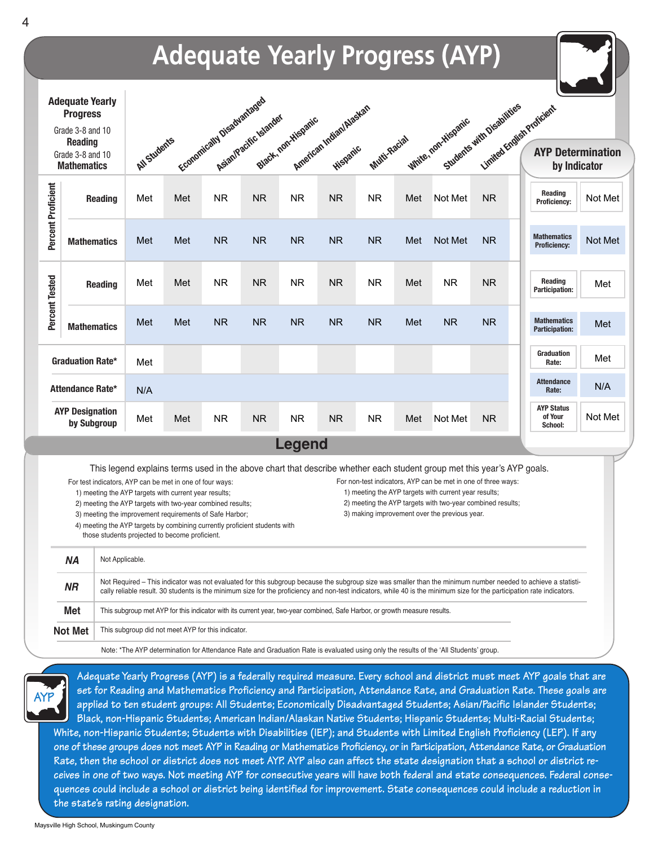

**set for Reading and Mathematics Proficiency and Participation, Attendance Rate, and Graduation Rate. These goals are applied to ten student groups: All Students; Economically Disadvantaged Students; Asian/Pacific Islander Students; Black, non-Hispanic Students; American Indian/Alaskan Native Students; Hispanic Students; Multi-Racial Students; White, non-Hispanic Students; Students with Disabilities (IEP); and Students with Limited English Proficiency (LEP). If any one of these groups does not meet AYP in Reading or Mathematics Proficiency, or in Participation, Attendance Rate, or Graduation Rate, then the school or district does not meet AYP. AYP also can affect the state designation that a school or district receives in one of two ways. Not meeting AYP for consecutive years will have both federal and state consequences. Federal consequences could include a school or district being identified for improvement. State consequences could include a reduction in AYP**

**the state's rating designation.**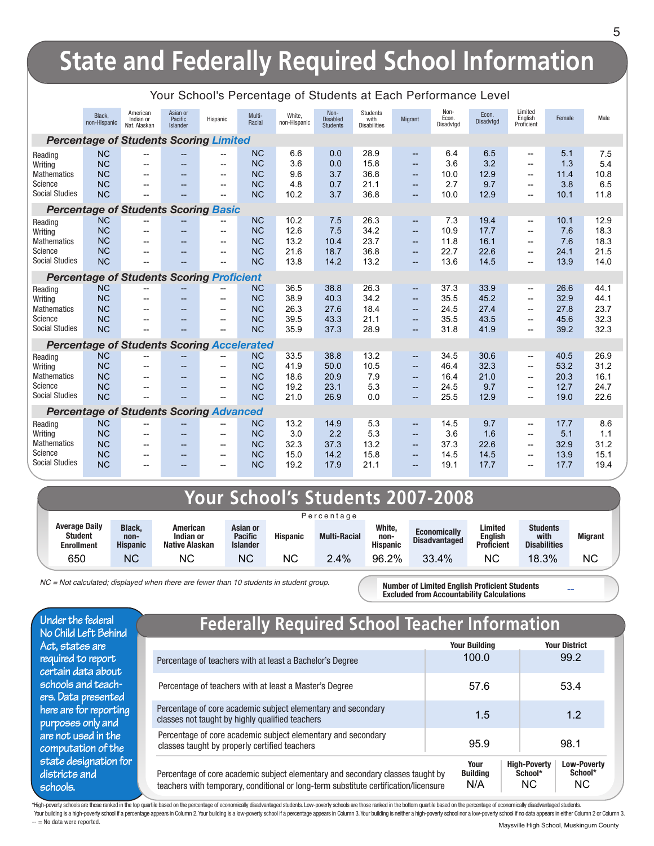## **State and Federally Required School Information**

|                                  |                                                   |                                       |                                 | oonooro roroomago        |                        |                        |                                            |                                         |                                 |                            |                    |                                     |             |             |
|----------------------------------|---------------------------------------------------|---------------------------------------|---------------------------------|--------------------------|------------------------|------------------------|--------------------------------------------|-----------------------------------------|---------------------------------|----------------------------|--------------------|-------------------------------------|-------------|-------------|
|                                  | Black.<br>non-Hispanic                            | American<br>Indian or<br>Nat. Alaskan | Asian or<br>Pacific<br>Islander | Hispanic                 | Multi-<br>Racial       | White,<br>non-Hispanic | Non-<br><b>Disabled</b><br><b>Students</b> | Students<br>with<br><b>Disabilities</b> | Migrant                         | Non-<br>Econ.<br>Disadvtgd | Econ.<br>Disadvtgd | Limited<br>English<br>Proficient    | Female      | Male        |
|                                  | <b>Percentage of Students Scoring Limited</b>     |                                       |                                 |                          |                        |                        |                                            |                                         |                                 |                            |                    |                                     |             |             |
| Reading                          | <b>NC</b>                                         |                                       |                                 |                          | <b>NC</b>              | 6.6                    | 0.0                                        | 28.9                                    | $\overline{\phantom{a}}$        | 6.4                        | 6.5                | --                                  | 5.1         | 7.5         |
| Writing                          | <b>NC</b>                                         | $-$                                   | $\overline{\phantom{a}}$        | $\overline{\phantom{a}}$ | <b>NC</b>              | 3.6                    | 0.0                                        | 15.8                                    | $-$                             | 3.6                        | 3.2                | $\overline{a}$                      | 1.3         | 5.4         |
| <b>Mathematics</b><br>Science    | <b>NC</b>                                         |                                       |                                 | $\overline{\phantom{a}}$ | <b>NC</b>              | 9.6                    | 3.7                                        | 36.8                                    | $-$                             | 10.0<br>2.7                | 12.9               | $\overline{a}$                      | 11.4        | 10.8        |
| <b>Social Studies</b>            | <b>NC</b><br><b>NC</b>                            |                                       |                                 | $\overline{\phantom{0}}$ | <b>NC</b><br><b>NC</b> | 4.8<br>10.2            | 0.7<br>3.7                                 | 21.1<br>36.8                            | $\overline{\phantom{a}}$<br>$-$ | 10.0                       | 9.7<br>12.9        | $\overline{\phantom{0}}$<br>--      | 3.8<br>10.1 | 6.5<br>11.8 |
|                                  | <b>Percentage of Students Scoring Basic</b>       |                                       |                                 |                          |                        |                        |                                            |                                         |                                 |                            |                    |                                     |             |             |
| Reading                          | <b>NC</b>                                         | $\overline{\phantom{a}}$              |                                 |                          | <b>NC</b>              | 10.2                   | 7.5                                        | 26.3                                    | --                              | 7.3                        | 19.4               | --                                  | 10.1        | 12.9        |
| Writing                          | <b>NC</b>                                         | $-$                                   |                                 | $\overline{\phantom{a}}$ | <b>NC</b>              | 12.6                   | 7.5                                        | 34.2                                    | $\overline{\phantom{a}}$        | 10.9                       | 17.7               | $\overline{a}$                      | 7.6         | 18.3        |
| <b>Mathematics</b>               | <b>NC</b>                                         |                                       |                                 | --                       | <b>NC</b>              | 13.2                   | 10.4                                       | 23.7                                    | --                              | 11.8                       | 16.1               | --                                  | 7.6         | 18.3        |
| Science                          | <b>NC</b>                                         |                                       |                                 | $\overline{\phantom{a}}$ | <b>NC</b>              | 21.6                   | 18.7                                       | 36.8                                    | --                              | 22.7                       | 22.6               | --                                  | 24.1        | 21.5        |
| <b>Social Studies</b>            | <b>NC</b>                                         |                                       |                                 |                          | <b>NC</b>              | 13.8                   | 14.2                                       | 13.2                                    | --                              | 13.6                       | 14.5               | --                                  | 13.9        | 14.0        |
|                                  | <b>Percentage of Students Scoring Proficient</b>  |                                       |                                 |                          |                        |                        |                                            |                                         |                                 |                            |                    |                                     |             |             |
| Reading                          | <b>NC</b>                                         | --                                    |                                 |                          | <b>NC</b>              | 36.5                   | 38.8                                       | 26.3                                    | --                              | 37.3                       | 33.9               | --                                  | 26.6        | 44.1        |
| Writing                          | <b>NC</b>                                         | $\overline{\phantom{a}}$              |                                 | --                       | <b>NC</b>              | 38.9                   | 40.3                                       | 34.2                                    | --                              | 35.5                       | 45.2               | --                                  | 32.9        | 44.1        |
| <b>Mathematics</b>               | <b>NC</b>                                         | $-$                                   | $-$                             | $-$                      | <b>NC</b>              | 26.3                   | 27.6                                       | 18.4                                    | --                              | 24.5                       | 27.4               | $\overline{a}$                      | 27.8        | 23.7        |
| Science                          | <b>NC</b>                                         | $-$                                   | $-$                             | $-$                      | <b>NC</b>              | 39.5                   | 43.3                                       | 21.1                                    | $-$                             | 35.5                       | 43.5               | $\overline{a}$                      | 45.6        | 32.3        |
| <b>Social Studies</b>            | <b>NC</b>                                         | $\overline{\phantom{a}}$              |                                 | $-$                      | <b>NC</b>              | 35.9                   | 37.3                                       | 28.9                                    | $\overline{\phantom{a}}$        | 31.8                       | 41.9               | --                                  | 39.2        | 32.3        |
|                                  | <b>Percentage of Students Scoring Accelerated</b> |                                       |                                 |                          |                        |                        |                                            |                                         |                                 |                            |                    |                                     |             |             |
| Reading                          | <b>NC</b>                                         |                                       |                                 |                          | <b>NC</b>              | 33.5                   | 38.8                                       | 13.2                                    | --                              | 34.5                       | 30.6               | $\hspace{0.05cm}$                   | 40.5        | 26.9        |
| Writing                          | <b>NC</b>                                         |                                       |                                 |                          | <b>NC</b>              | 41.9                   | 50.0                                       | 10.5                                    | --                              | 46.4                       | 32.3               | --                                  | 53.2        | 31.2        |
| <b>Mathematics</b>               | <b>NC</b>                                         |                                       |                                 |                          | <b>NC</b>              | 18.6                   | 20.9                                       | 79                                      | --                              | 16.4                       | 21.0               | --                                  | 20.3        | 16.1        |
| Science                          | <b>NC</b>                                         |                                       |                                 |                          | <b>NC</b>              | 19.2                   | 23.1                                       | 5.3                                     | --                              | 24.5                       | 9.7                | --                                  | 12.7        | 24.7        |
| <b>Social Studies</b>            | <b>NC</b>                                         |                                       |                                 |                          | <b>NC</b>              | 21.0                   | 26.9                                       | 0.0                                     | $-$                             | 25.5                       | 12.9               | $\overline{\phantom{0}}$            | 19.0        | 22.6        |
|                                  | <b>Percentage of Students Scoring Advanced</b>    |                                       |                                 |                          |                        |                        |                                            |                                         |                                 |                            |                    |                                     |             |             |
| Reading                          | <b>NC</b>                                         | $\overline{\phantom{a}}$              | $-$                             | $\qquad \qquad -$        | <b>NC</b>              | 13.2                   | 14.9                                       | 5.3                                     | $\overline{\phantom{a}}$        | 14.5                       | 9.7                | $\overline{\phantom{a}}$            | 17.7        | 8.6         |
| Writing                          | <b>NC</b>                                         | $-$                                   | $\overline{\phantom{a}}$        | $-$                      | <b>NC</b>              | 3.0                    | 2.2                                        | 5.3                                     | --                              | 3.6                        | 1.6                | $-$                                 | 5.1         | 1.1         |
| <b>Mathematics</b>               | <b>NC</b>                                         | $-$                                   | $\overline{\phantom{a}}$        | $\overline{\phantom{a}}$ | <b>NC</b>              | 32.3                   | 37.3                                       | 13.2                                    | --                              | 37.3                       | 22.6               | $\hspace{0.05cm}$ $\hspace{0.05cm}$ | 32.9        | 31.2        |
| Science<br><b>Social Studies</b> | <b>NC</b>                                         |                                       | $\overline{\phantom{a}}$        | $\overline{\phantom{a}}$ | <b>NC</b>              | 15.0                   | 14.2                                       | 15.8                                    | --                              | 14.5                       | 14.5               | --                                  | 13.9        | 15.1        |
|                                  | <b>NC</b>                                         | $-$                                   |                                 | $-$                      | <b>NC</b>              | 19.2                   | 17.9                                       | 21.1                                    | $-$                             | 19.1                       | 17.7               |                                     | 17.7        | 19.4        |

#### Your School's Percentage of Students at Each Performance Level

### **Your School's Students 2007-2008**

| Percentage                                                  |                                          |                                                |                                               |                 |                     |                                   |                                             |                                                |                                                |                |
|-------------------------------------------------------------|------------------------------------------|------------------------------------------------|-----------------------------------------------|-----------------|---------------------|-----------------------------------|---------------------------------------------|------------------------------------------------|------------------------------------------------|----------------|
| <b>Average Daily</b><br><b>Student</b><br><b>Enrollment</b> | <b>Black.</b><br>non-<br><b>Hispanic</b> | American<br>Indian or<br><b>Native Alaskan</b> | Asian or<br><b>Pacific</b><br><b>Islander</b> | <b>Hispanic</b> | <b>Multi-Racial</b> | White,<br>non-<br><b>Hispanic</b> | <b>Economically</b><br><b>Disadvantaged</b> | Limited<br><b>English</b><br><b>Proficient</b> | <b>Students</b><br>with<br><b>Disabilities</b> | <b>Migrant</b> |
| 650                                                         | ΝC                                       | ΝC                                             | ΝC                                            | ΝC              | 2.4%                | 96.2%                             | 33.4%                                       | ΝC                                             | 18.3%                                          | <b>NC</b>      |

NC = Not calculated; displayed when there are fewer than 10 students in student group.

**Number of Limited English Proficient Students Excluded from Accountability Calculations**

**Federally Required School Teacher Information**

|                                                                                                                                                                        | <b>Your Building</b>           | <b>Your District</b>                                                          |
|------------------------------------------------------------------------------------------------------------------------------------------------------------------------|--------------------------------|-------------------------------------------------------------------------------|
| Percentage of teachers with at least a Bachelor's Degree                                                                                                               | 100.0                          | 99.2                                                                          |
| Percentage of teachers with at least a Master's Degree                                                                                                                 | 57.6                           | 53.4                                                                          |
| Percentage of core academic subject elementary and secondary<br>classes not taught by highly qualified teachers                                                        | 1.5                            | 1.2                                                                           |
| Percentage of core academic subject elementary and secondary<br>classes taught by properly certified teachers                                                          | 95.9                           | 98.1                                                                          |
| Percentage of core academic subject elementary and secondary classes taught by<br>teachers with temporary, conditional or long-term substitute certification/licensure | Your<br><b>Building</b><br>N/A | <b>High-Poverty</b><br><b>Low-Poverty</b><br>School*<br>School*<br>NC.<br>NC. |

\*High-poverty schools are those ranked in the top quartile based on the percentage of economically disadvantaged students. Low-poverty schools are those ranked in the bottom quartile based on the percentage of economically

Your building is a high-poverty school if a percentage appears in Column 2. Your building is a low-poverty school if a percentage appears in Column 3. Your building is neither a high-poverty school nor a low-poverty school

**districts and schools.**

**Under the federal No Child Left Behind Act, states are required to report certain data about schools and teachers. Data presented here are for reporting purposes only and are not used in the computation of the state designation for** **--**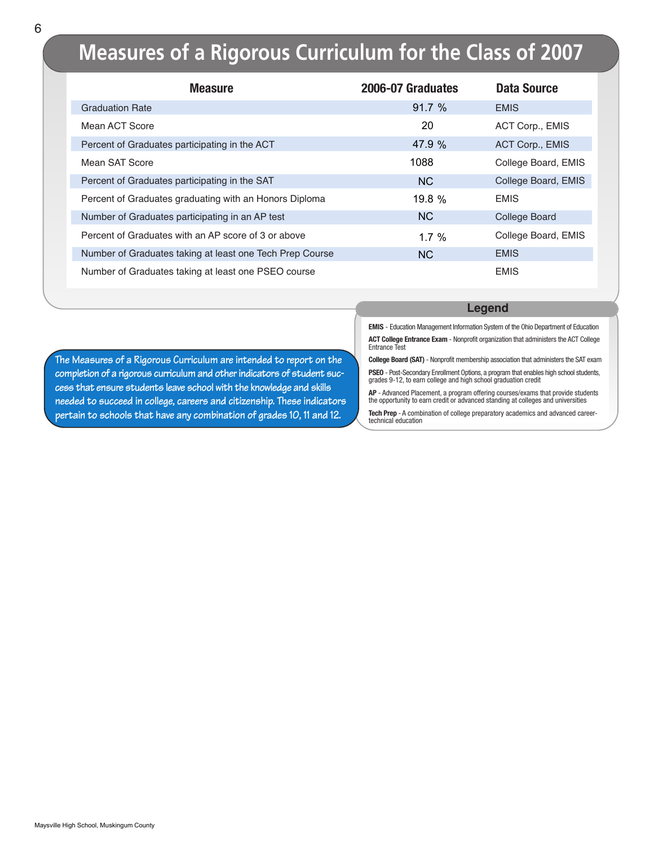### **Measures of a Rigorous Curriculum for the Class of 2007**

| <b>Measure</b>                                           | 2006-07 Graduates | <b>Data Source</b>  |
|----------------------------------------------------------|-------------------|---------------------|
| <b>Graduation Rate</b>                                   | 91.7%             | <b>EMIS</b>         |
| Mean ACT Score                                           | 20                | ACT Corp., EMIS     |
| Percent of Graduates participating in the ACT            | 47.9 %            | ACT Corp., EMIS     |
| Mean SAT Score                                           | 1088              | College Board, EMIS |
| Percent of Graduates participating in the SAT            | N <sub>C</sub>    | College Board, EMIS |
| Percent of Graduates graduating with an Honors Diploma   | 19.8 %            | <b>EMIS</b>         |
| Number of Graduates participating in an AP test          | <b>NC</b>         | College Board       |
| Percent of Graduates with an AP score of 3 or above      | 1.7%              | College Board, EMIS |
| Number of Graduates taking at least one Tech Prep Course | <b>NC</b>         | <b>EMIS</b>         |
| Number of Graduates taking at least one PSEO course      |                   | <b>EMIS</b>         |

#### **Legend**

**EMIS** - Education Management Information System of the Ohio Department of Education **ACT College Entrance Exam** - Nonprofit organization that administers the ACT College Entrance Test

**College Board (SAT)** - Nonprofit membership association that administers the SAT exam

**PSEO** - Post-Secondary Enrollment Options, a program that enables high school students, grades 9-12, to earn college and high school graduation credit

**AP** - Advanced Placement, a program offering courses/exams that provide students the opportunity to earn credit or advanced standing at colleges and universities

**Tech Prep** - A combination of college preparatory academics and advanced careertechnical education

**The Measures of a Rigorous Curriculum are intended to report on the completion of a rigorous curriculum and other indicators of student success that ensure students leave school with the knowledge and skills needed to succeed in college, careers and citizenship. These indicators pertain to schools that have any combination of grades 10, 11 and 12.**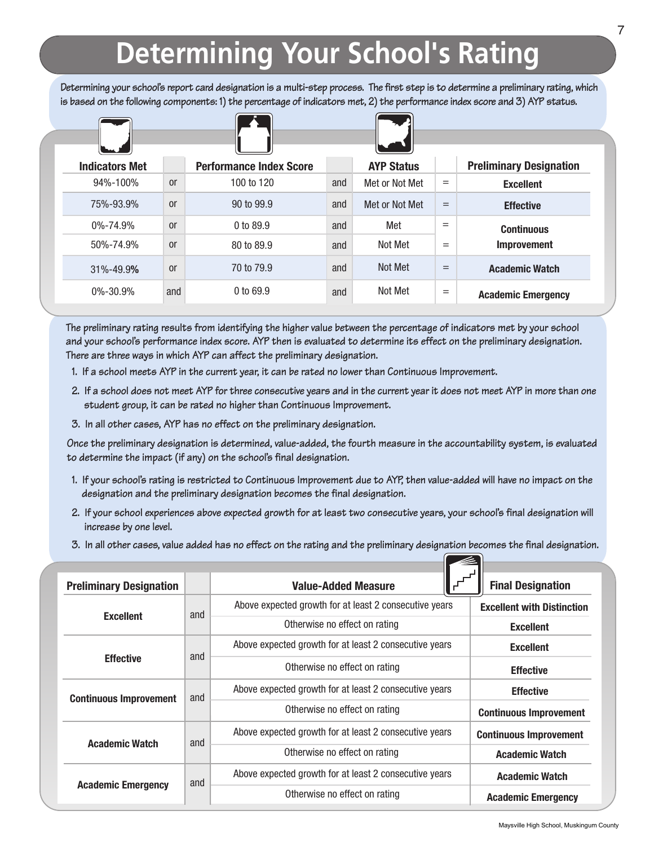# **Determining Your School's Rating**

**Determining your school's report card designation is a multi-step process. The first step is to determine a preliminary rating, which is based on the following components: 1) the percentage of indicators met, 2) the performance index score and 3) AYP status.**

| <b>Preliminary Designation</b> |     | <b>AYP Status</b> |     | <b>Performance Index Score</b> |               | <b>Indicators Met</b> |
|--------------------------------|-----|-------------------|-----|--------------------------------|---------------|-----------------------|
| <b>Excellent</b>               | $=$ | Met or Not Met    | and | 100 to 120                     | <sub>or</sub> | 94%-100%              |
| <b>Effective</b>               | $=$ | Met or Not Met    | and | 90 to 99.9                     | <sub>or</sub> | 75%-93.9%             |
| <b>Continuous</b>              | $=$ | Met               | and | 0 to 89.9                      | <sub>or</sub> | $0\% - 74.9\%$        |
| <b>Improvement</b>             | $=$ | Not Met           | and | 80 to 89.9                     | <sub>or</sub> | 50%-74.9%             |
| <b>Academic Watch</b>          | $=$ | Not Met           | and | 70 to 79.9                     | <sub>or</sub> | 31%-49.9%             |
| <b>Academic Emergency</b>      | $=$ | Not Met           | and | $0$ to 69.9                    | and           | $0\% - 30.9\%$        |

**The preliminary rating results from identifying the higher value between the percentage of indicators met by your school and your school's performance index score. AYP then is evaluated to determine its effect on the preliminary designation. There are three ways in which AYP can affect the preliminary designation.**

- **1. If a school meets AYP in the current year, it can be rated no lower than Continuous Improvement.**
- **2. If a school does not meet AYP for three consecutive years and in the current year it does not meet AYP in more than one student group, it can be rated no higher than Continuous Improvement.**
- **3. In all other cases, AYP has no effect on the preliminary designation.**

**Once the preliminary designation is determined, value-added, the fourth measure in the accountability system, is evaluated to determine the impact (if any) on the school's final designation.** 

- **1. If your school's rating is restricted to Continuous Improvement due to AYP, then value-added will have no impact on the designation and the preliminary designation becomes the final designation.**
- **2. If your school experiences above expected growth for at least two consecutive years, your school's final designation will increase by one level.**
- **3. In all other cases, value added has no effect on the rating and the preliminary designation becomes the final designation.**

| <b>Preliminary Designation</b> |     | <b>Value-Added Measure</b>                             | <b>Final Designation</b>          |
|--------------------------------|-----|--------------------------------------------------------|-----------------------------------|
|                                | and | Above expected growth for at least 2 consecutive years | <b>Excellent with Distinction</b> |
| <b>Excellent</b>               |     | Otherwise no effect on rating                          | <b>Excellent</b>                  |
|                                |     | Above expected growth for at least 2 consecutive years | <b>Excellent</b>                  |
| <b>Effective</b>               | and | Otherwise no effect on rating                          | <b>Effective</b>                  |
| <b>Continuous Improvement</b>  | and | Above expected growth for at least 2 consecutive years | <b>Effective</b>                  |
|                                |     | Otherwise no effect on rating                          | <b>Continuous Improvement</b>     |
| <b>Academic Watch</b>          | and | Above expected growth for at least 2 consecutive years | <b>Continuous Improvement</b>     |
|                                |     | Otherwise no effect on rating                          | <b>Academic Watch</b>             |
|                                | and | Above expected growth for at least 2 consecutive years | <b>Academic Watch</b>             |
| <b>Academic Emergency</b>      |     | Otherwise no effect on rating                          | <b>Academic Emergency</b>         |